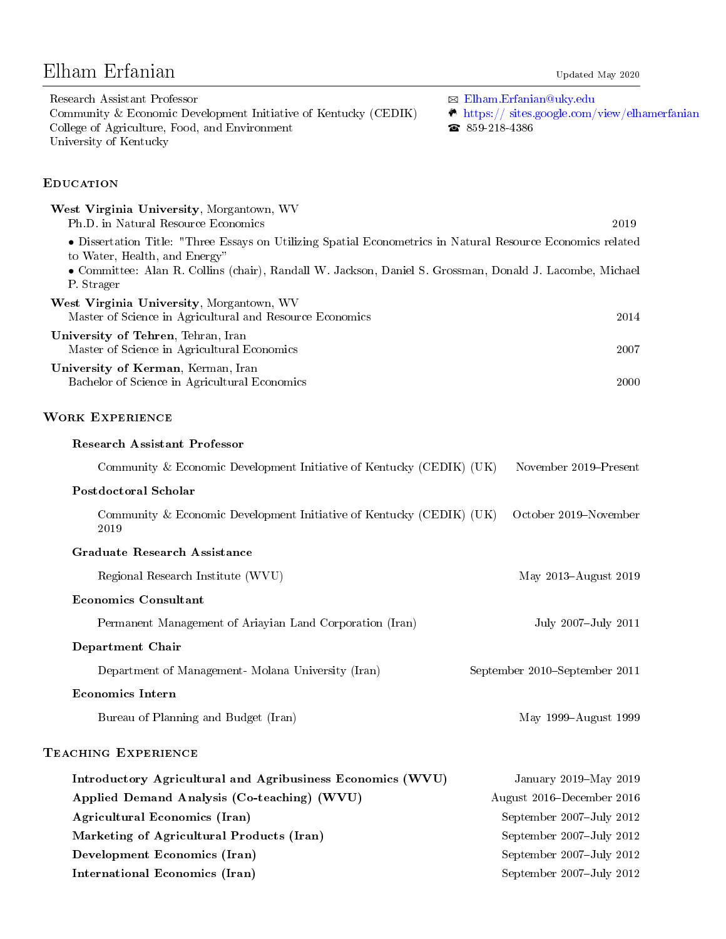# Elham Erfanian Updated May 2020

| Research Assistant Professor                                    | $\boxtimes$ Elham.Erfanian@uky.edu                     |
|-----------------------------------------------------------------|--------------------------------------------------------|
| Community & Economic Development Initiative of Kentucky (CEDIK) | $\bullet$ https:// sites.google.com/view/elhamerfanian |
| College of Agriculture, Food, and Environment                   | $\bullet$ 859-218-4386                                 |
| University of Kentucky                                          |                                                        |

## **EDUCATION**

| West Virginia University, Morgantown, WV<br>Ph.D. in Natural Resource Economics                                                              | 2019                          |
|----------------------------------------------------------------------------------------------------------------------------------------------|-------------------------------|
| · Dissertation Title: "Three Essays on Utilizing Spatial Econometrics in Natural Resource Economics related<br>to Water, Health, and Energy" |                               |
| • Committee: Alan R. Collins (chair), Randall W. Jackson, Daniel S. Grossman, Donald J. Lacombe, Michael<br>P. Strager                       |                               |
| West Virginia University, Morgantown, WV<br>Master of Science in Agricultural and Resource Economics                                         | 2014                          |
| University of Tehren, Tehran, Iran<br>Master of Science in Agricultural Economics                                                            | 2007                          |
| University of Kerman, Kerman, Iran<br>Bachelor of Science in Agricultural Economics                                                          | 2000                          |
| <b>WORK EXPERIENCE</b>                                                                                                                       |                               |
| <b>Research Assistant Professor</b>                                                                                                          |                               |
| Community & Economic Development Initiative of Kentucky (CEDIK) (UK)                                                                         | November 2019–Present         |
| <b>Postdoctoral Scholar</b>                                                                                                                  |                               |
| Community & Economic Development Initiative of Kentucky (CEDIK) (UK)<br>2019                                                                 | October 2019-November         |
| <b>Graduate Research Assistance</b>                                                                                                          |                               |
| Regional Research Institute (WVU)                                                                                                            | May 2013-August 2019          |
| <b>Economics Consultant</b>                                                                                                                  |                               |
| Permanent Management of Ariayian Land Corporation (Iran)                                                                                     | July 2007-July 2011           |
| Department Chair                                                                                                                             |                               |
| Department of Management- Molana University (Iran)                                                                                           | September 2010–September 2011 |
| <b>Economics Intern</b>                                                                                                                      |                               |
| Bureau of Planning and Budget (Iran)                                                                                                         | May 1999-August 1999          |
| TEACHING EXPERIENCE                                                                                                                          |                               |
| Introductory Agricultural and Agribusiness Economics (WVU)                                                                                   | January 2019-May 2019         |
| Applied Demand Analysis (Co-teaching) (WVU)                                                                                                  | August 2016–December 2016     |
| Agricultural Economics (Iran)                                                                                                                | September 2007-July 2012      |
| Marketing of Agricultural Products (Iran)                                                                                                    | September 2007-July 2012      |
| Development Economics (Iran)                                                                                                                 | September 2007-July 2012      |
| <b>International Economics (Iran)</b>                                                                                                        | September 2007-July 2012      |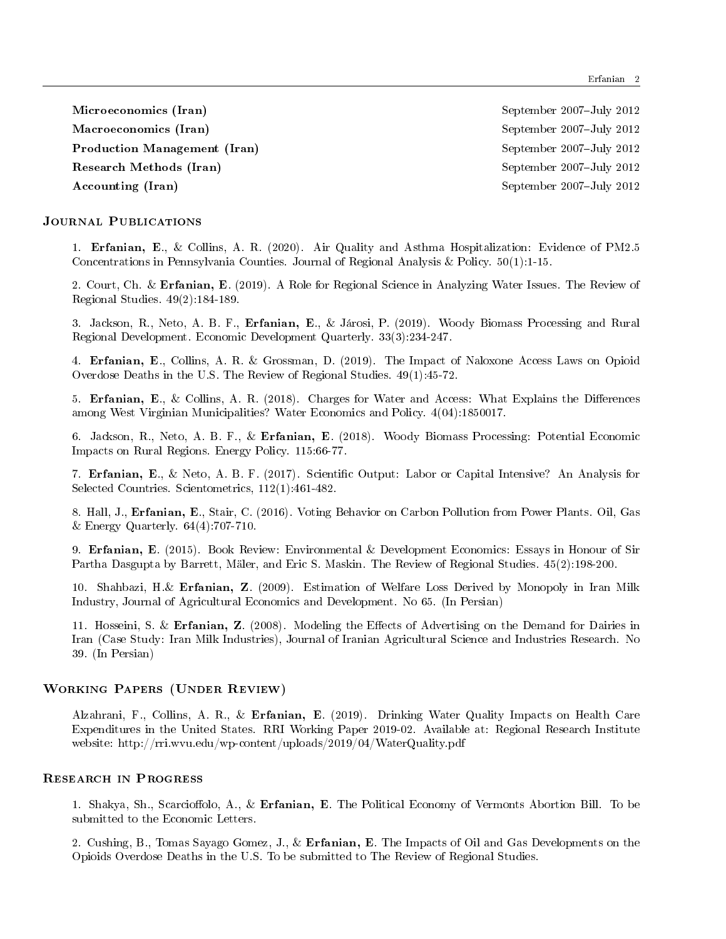Microeconomics (Iran) September 2007-July 2012 Macroeconomics (Iran) September 2007-July 2012 Production Management (Iran) September 2007-July 2012 Research Methods (Iran) September 2007-July 2012 Accounting (Iran) September 2007-July 2012

### JOURNAL PUBLICATIONS

1. Erfanian, E., \& Collins, A. R. (2020). Air Quality and Asthma Hospitalization: Evidence of PM2.5 Concentrations in Pennsylvania Counties. Journal of Regional Analysis  $\&$  Policy. 50(1):1-15.

2. Court, Ch. \& Erfanian, E. (2019). A Role for Regional Science in Analyzing Water Issues. The Review of Regional Studies. 49(2):184-189.

3. Jackson, R., Neto, A. B. F., Erfanian, E., & Járosi, P. (2019). Woody Biomass Processing and Rural Regional Development. Economic Development Quarterly. 33(3):234-247.

4. Erfanian, E., Collins, A. R. \& Grossman, D. (2019). The Impact of Naloxone Access Laws on Opioid Overdose Deaths in the U.S. The Review of Regional Studies. 49(1):45-72.

5. Erfanian, E., \& Collins, A. R. (2018). Charges for Water and Access: What Explains the Differences among West Virginian Municipalities? Water Economics and Policy. 4(04):1850017.

6. Jackson, R., Neto, A. B. F., \& Erfanian, E. (2018). Woody Biomass Processing: Potential Economic Impacts on Rural Regions. Energy Policy. 115:66-77.

7. Erfanian, E., \& Neto, A. B. F. (2017). Scientific Output: Labor or Capital Intensive? An Analysis for Selected Countries. Scientometrics, 112(1):461-482.

8. Hall, J., Erfanian, E., Stair, C. (2016). Voting Behavior on Carbon Pollution from Power Plants. Oil, Gas  $\&$  Energy Quarterly. 64(4):707-710.

9. Erfanian, E. (2015). Book Review: Environmental \& Development Economics: Essays in Honour of Sir Partha Dasgupta by Barrett, Mäler, and Eric S. Maskin. The Review of Regional Studies.  $45(2):198-200$ .

10. Shahbazi, H.\& Erfanian, Z. (2009). Estimation of Welfare Loss Derived by Monopoly in Iran Milk Industry, Journal of Agricultural Economics and Development. No 65. (In Persian)

11. Hosseini, S. \& Erfanian, Z. (2008). Modeling the Effects of Advertising on the Demand for Dairies in Iran (Case Study: Iran Milk Industries), Journal of Iranian Agricultural Science and Industries Research. No 39. (In Persian)

#### Working Papers (Under Review)

Alzahrani, F., Collins, A. R., \& Erfanian, E. (2019). Drinking Water Quality Impacts on Health Care Expenditures in the United States. RRI Working Paper 2019-02. Available at: Regional Research Institute website: http://rri.wvu.edu/wp-content/uploads/2019/04/WaterQuality.pdf

#### Research in Progress

1. Shakya, Sh., Scarcioffolo, A., \& Erfanian, E. The Political Economy of Vermonts Abortion Bill. To be submitted to the Economic Letters.

2. Cushing, B., Tomas Sayago Gomez, J., \& Erfanian, E. The Impacts of Oil and Gas Developments on the Opioids Overdose Deaths in the U.S. To be submitted to The Review of Regional Studies.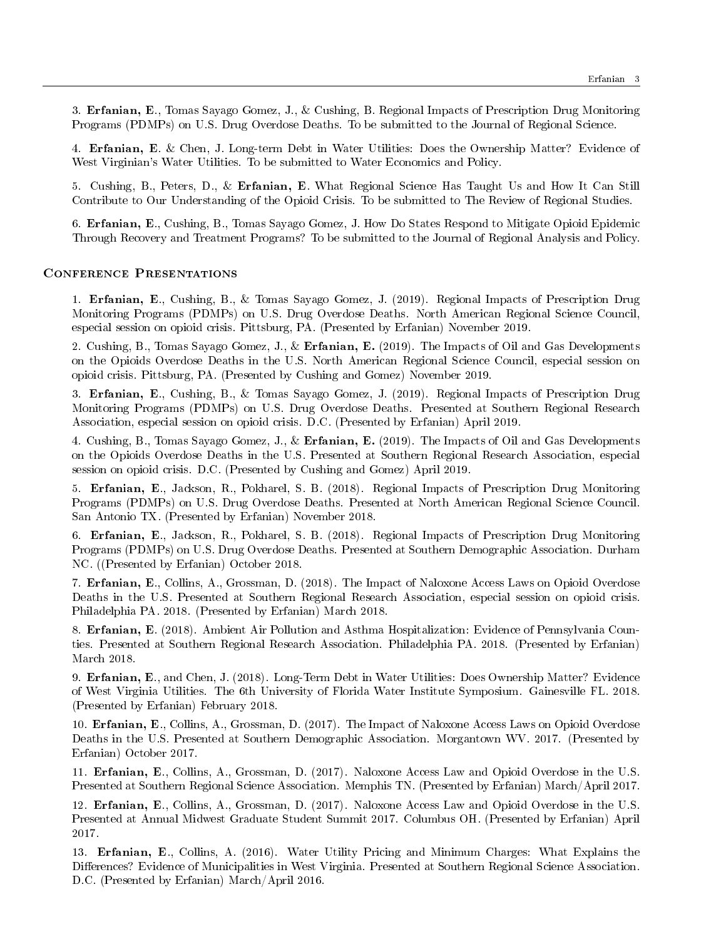3. Erfanian, E., Tomas Sayago Gomez, J., \& Cushing, B. Regional Impacts of Prescription Drug Monitoring Programs (PDMPs) on U.S. Drug Overdose Deaths. To be submitted to the Journal of Regional Science.

4. Erfanian, E. & Chen, J. Long-term Debt in Water Utilities: Does the Ownership Matter? Evidence of West Virginian's Water Utilities. To be submitted to Water Economics and Policy.

5. Cushing, B., Peters, D., \& Erfanian, E. What Regional Science Has Taught Us and How It Can Still Contribute to Our Understanding of the Opioid Crisis. To be submitted to The Review of Regional Studies.

6. Erfanian, E., Cushing, B., Tomas Sayago Gomez, J. How Do States Respond to Mitigate Opioid Epidemic Through Recovery and Treatment Programs? To be submitted to the Journal of Regional Analysis and Policy.

#### Conference Presentations

1. Erfanian, E., Cushing, B., \& Tomas Sayago Gomez, J. (2019). Regional Impacts of Prescription Drug Monitoring Programs (PDMPs) on U.S. Drug Overdose Deaths. North American Regional Science Council, especial session on opioid crisis. Pittsburg, PA. (Presented by Erfanian) November 2019.

2. Cushing, B., Tomas Sayago Gomez, J., & Erfanian, E. (2019). The Impacts of Oil and Gas Developments on the Opioids Overdose Deaths in the U.S. North American Regional Science Council, especial session on opioid crisis. Pittsburg, PA. (Presented by Cushing and Gomez) November 2019.

3. Erfanian, E., Cushing, B., \& Tomas Sayago Gomez, J. (2019). Regional Impacts of Prescription Drug Monitoring Programs (PDMPs) on U.S. Drug Overdose Deaths. Presented at Southern Regional Research Association, especial session on opioid crisis. D.C. (Presented by Erfanian) April 2019.

4. Cushing, B., Tomas Sayago Gomez, J., \& Erfanian, E. (2019). The Impacts of Oil and Gas Developments on the Opioids Overdose Deaths in the U.S. Presented at Southern Regional Research Association, especial session on opioid crisis. D.C. (Presented by Cushing and Gomez) April 2019.

5. Erfanian, E., Jackson, R., Pokharel, S. B. (2018). Regional Impacts of Prescription Drug Monitoring Programs (PDMPs) on U.S. Drug Overdose Deaths. Presented at North American Regional Science Council. San Antonio TX. (Presented by Erfanian) November 2018.

6. Erfanian, E., Jackson, R., Pokharel, S. B. (2018). Regional Impacts of Prescription Drug Monitoring Programs (PDMPs) on U.S. Drug Overdose Deaths. Presented at Southern Demographic Association. Durham NC. ((Presented by Erfanian) October 2018.

7. Erfanian, E., Collins, A., Grossman, D. (2018). The Impact of Naloxone Access Laws on Opioid Overdose Deaths in the U.S. Presented at Southern Regional Research Association, especial session on opioid crisis. Philadelphia PA. 2018. (Presented by Erfanian) March 2018.

8. Erfanian, E. (2018). Ambient Air Pollution and Asthma Hospitalization: Evidence of Pennsylvania Counties. Presented at Southern Regional Research Association. Philadelphia PA. 2018. (Presented by Erfanian) March 2018.

9. Erfanian, E., and Chen, J. (2018). Long-Term Debt in Water Utilities: Does Ownership Matter? Evidence of West Virginia Utilities. The 6th University of Florida Water Institute Symposium. Gainesville FL. 2018. (Presented by Erfanian) February 2018.

10. Erfanian, E., Collins, A., Grossman, D. (2017). The Impact of Naloxone Access Laws on Opioid Overdose Deaths in the U.S. Presented at Southern Demographic Association. Morgantown WV. 2017. (Presented by Erfanian) October 2017.

11. Erfanian, E., Collins, A., Grossman, D. (2017). Naloxone Access Law and Opioid Overdose in the U.S. Presented at Southern Regional Science Association. Memphis TN. (Presented by Erfanian) March/April 2017.

12. Erfanian, E., Collins, A., Grossman, D. (2017). Naloxone Access Law and Opioid Overdose in the U.S. Presented at Annual Midwest Graduate Student Summit 2017. Columbus OH. (Presented by Erfanian) April 2017.

13. Erfanian, E., Collins, A. (2016). Water Utility Pricing and Minimum Charges: What Explains the Differences? Evidence of Municipalities in West Virginia. Presented at Southern Regional Science Association. D.C. (Presented by Erfanian) March/April 2016.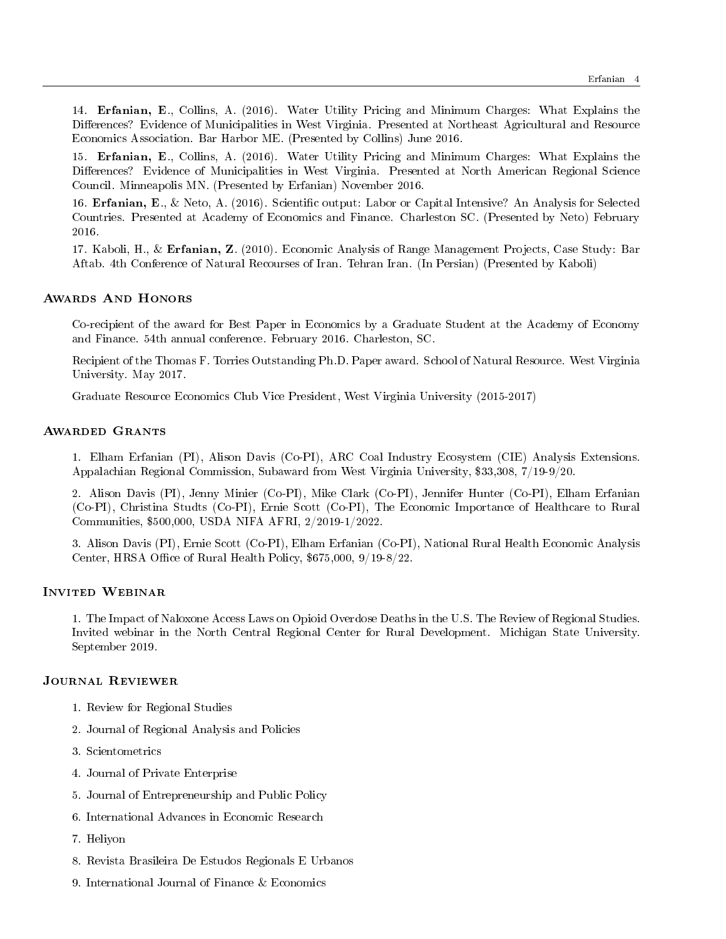14. Erfanian, E., Collins, A. (2016). Water Utility Pricing and Minimum Charges: What Explains the Differences? Evidence of Municipalities in West Virginia. Presented at Northeast Agricultural and Resource Economics Association. Bar Harbor ME. (Presented by Collins) June 2016.

15. Erfanian, E., Collins, A. (2016). Water Utility Pricing and Minimum Charges: What Explains the Differences? Evidence of Municipalities in West Virginia. Presented at North American Regional Science Council. Minneapolis MN. (Presented by Erfanian) November 2016.

16. Erfanian, E., \& Neto, A. (2016). Scientific output: Labor or Capital Intensive? An Analysis for Selected Countries. Presented at Academy of Economics and Finance. Charleston SC. (Presented by Neto) February 2016.

17. Kaboli, H., & Erfanian, Z. (2010). Economic Analysis of Range Management Projects, Case Study: Bar Aftab. 4th Conference of Natural Recourses of Iran. Tehran Iran. (In Persian) (Presented by Kaboli)

#### Awards And Honors

Co-recipient of the award for Best Paper in Economics by a Graduate Student at the Academy of Economy and Finance. 54th annual conference. February 2016. Charleston, SC.

Recipient of the Thomas F. Torries Outstanding Ph.D. Paper award. School of Natural Resource. West Virginia University. May 2017.

Graduate Resource Economics Club Vice President, West Virginia University (2015-2017)

#### Awarded Grants

1. Elham Erfanian (PI), Alison Davis (Co-PI), ARC Coal Industry Ecosystem (CIE) Analysis Extensions. Appalachian Regional Commission, Subaward from West Virginia University, \\$33,308, 7/19-9/20.

2. Alison Davis (PI), Jenny Minier (Co-PI), Mike Clark (Co-PI), Jennifer Hunter (Co-PI), Elham Erfanian (Co-PI), Christina Studts (Co-PI), Ernie Scott (Co-PI), The Economic Importance of Healthcare to Rural Communities, \\$500,000, USDA NIFA AFRI, 2/2019-1/2022.

3. Alison Davis (PI), Ernie Scott (Co-PI), Elham Erfanian (Co-PI), National Rural Health Economic Analysis Center, HRSA Office of Rural Health Policy, \$675,000, 9/19-8/22.

#### Invited Webinar

1. The Impact of Naloxone Access Laws on Opioid Overdose Deaths in the U.S. The Review of Regional Studies. Invited webinar in the North Central Regional Center for Rural Development. Michigan State University. September 2019.

#### Journal Reviewer

- 1. Review for Regional Studies
- 2. Journal of Regional Analysis and Policies
- 3. Scientometrics
- 4. Journal of Private Enterprise
- 5. Journal of Entrepreneurship and Public Policy
- 6. International Advances in Economic Research
- 7. Heliyon
- 8. Revista Brasileira De Estudos Regionals E Urbanos
- 9. International Journal of Finance  $\&$  Economics